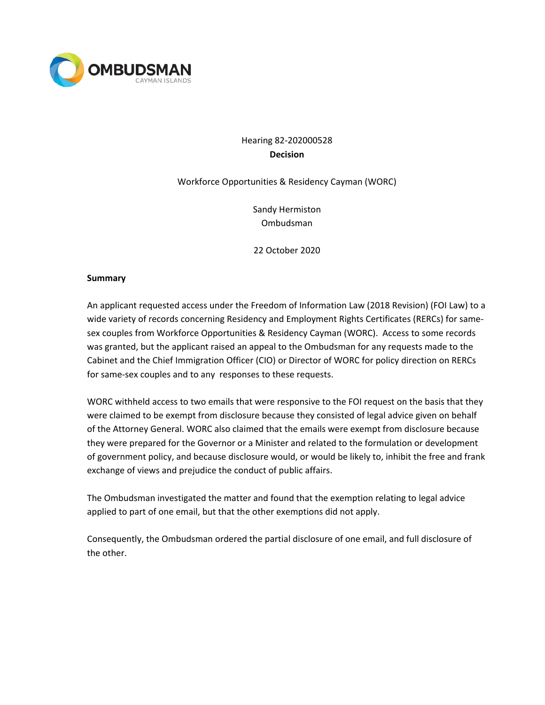

# Hearing 82-202000528 **Decision**

### Workforce Opportunities & Residency Cayman (WORC)

Sandy Hermiston Ombudsman

22 October 2020

#### **Summary**

An applicant requested access under the Freedom of Information Law (2018 Revision) (FOI Law) to a wide variety of records concerning Residency and Employment Rights Certificates (RERCs) for samesex couples from Workforce Opportunities & Residency Cayman (WORC). Access to some records was granted, but the applicant raised an appeal to the Ombudsman for any requests made to the Cabinet and the Chief Immigration Officer (CIO) or Director of WORC for policy direction on RERCs for same-sex couples and to any responses to these requests.

WORC withheld access to two emails that were responsive to the FOI request on the basis that they were claimed to be exempt from disclosure because they consisted of legal advice given on behalf of the Attorney General. WORC also claimed that the emails were exempt from disclosure because they were prepared for the Governor or a Minister and related to the formulation or development of government policy, and because disclosure would, or would be likely to, inhibit the free and frank exchange of views and prejudice the conduct of public affairs.

The Ombudsman investigated the matter and found that the exemption relating to legal advice applied to part of one email, but that the other exemptions did not apply.

Consequently, the Ombudsman ordered the partial disclosure of one email, and full disclosure of the other.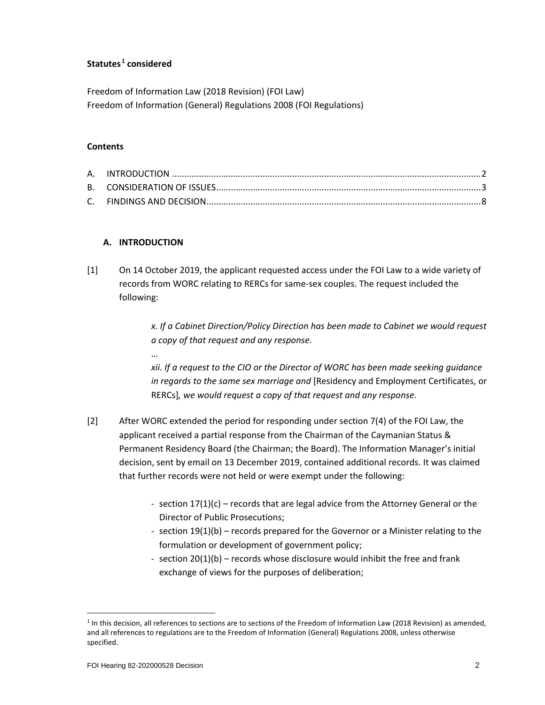#### **Statutes [1](#page-1-0) considered**

Freedom of Information Law (2018 Revision) (FOI Law) Freedom of Information (General) Regulations 2008 (FOI Regulations)

#### **Contents**

#### **A. INTRODUCTION**

…

[1] On 14 October 2019, the applicant requested access under the FOI Law to a wide variety of records from WORC relating to RERCs for same-sex couples. The request included the following:

> *x. If a Cabinet Direction/Policy Direction has been made to Cabinet we would request a copy of that request and any response.*

> *xii. If a request to the CIO or the Director of WORC has been made seeking guidance in regards to the same sex marriage and* [Residency and Employment Certificates, or RERCs]*, we would request a copy of that request and any response.*

- [2] After WORC extended the period for responding under section 7(4) of the FOI Law, the applicant received a partial response from the Chairman of the Caymanian Status & Permanent Residency Board (the Chairman; the Board). The Information Manager's initial decision, sent by email on 13 December 2019, contained additional records. It was claimed that further records were not held or were exempt under the following:
	- section 17(1)(c) records that are legal advice from the Attorney General or the Director of Public Prosecutions;
	- section 19(1)(b) records prepared for the Governor or a Minister relating to the formulation or development of government policy;
	- section 20(1)(b) records whose disclosure would inhibit the free and frank exchange of views for the purposes of deliberation;

<span id="page-1-0"></span> $1$  In this decision, all references to sections are to sections of the Freedom of Information Law (2018 Revision) as amended, and all references to regulations are to the Freedom of Information (General) Regulations 2008, unless otherwise specified.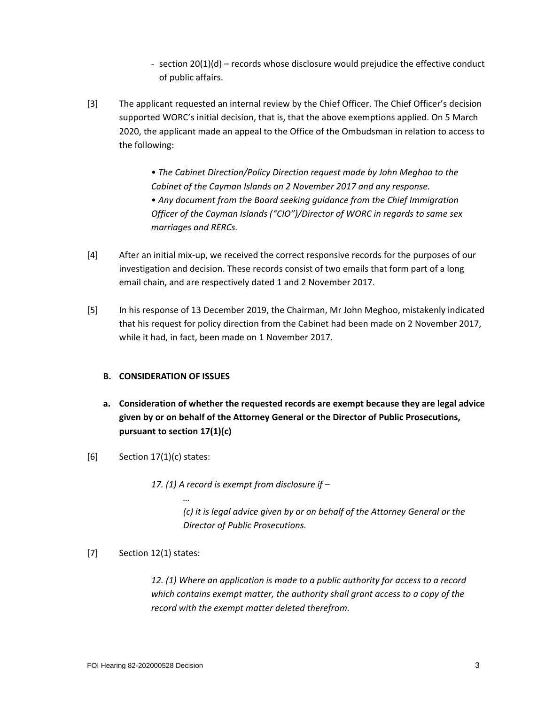- section 20(1)(d) records whose disclosure would prejudice the effective conduct of public affairs.
- [3] The applicant requested an internal review by the Chief Officer. The Chief Officer's decision supported WORC's initial decision, that is, that the above exemptions applied. On 5 March 2020, the applicant made an appeal to the Office of the Ombudsman in relation to access to the following:

• *The Cabinet Direction/Policy Direction request made by John Meghoo to the Cabinet of the Cayman Islands on 2 November 2017 and any response.* • *Any document from the Board seeking guidance from the Chief Immigration Officer of the Cayman Islands ("CIO")/Director of WORC in regards to same sex marriages and RERCs.*

- [4] After an initial mix-up, we received the correct responsive records for the purposes of our investigation and decision. These records consist of two emails that form part of a long email chain, and are respectively dated 1 and 2 November 2017.
- [5] In his response of 13 December 2019, the Chairman, Mr John Meghoo, mistakenly indicated that his request for policy direction from the Cabinet had been made on 2 November 2017, while it had, in fact, been made on 1 November 2017.

## **B. CONSIDERATION OF ISSUES**

*…*

- **a. Consideration of whether the requested records are exempt because they are legal advice given by or on behalf of the Attorney General or the Director of Public Prosecutions, pursuant to section 17(1)(c)**
- $[6]$  Section 17(1)(c) states:

*17. (1) A record is exempt from disclosure if –*

*(c) it is legal advice given by or on behalf of the Attorney General or the Director of Public Prosecutions.*

[7] Section 12(1) states:

*12. (1) Where an application is made to a public authority for access to a record which contains exempt matter, the authority shall grant access to a copy of the record with the exempt matter deleted therefrom.*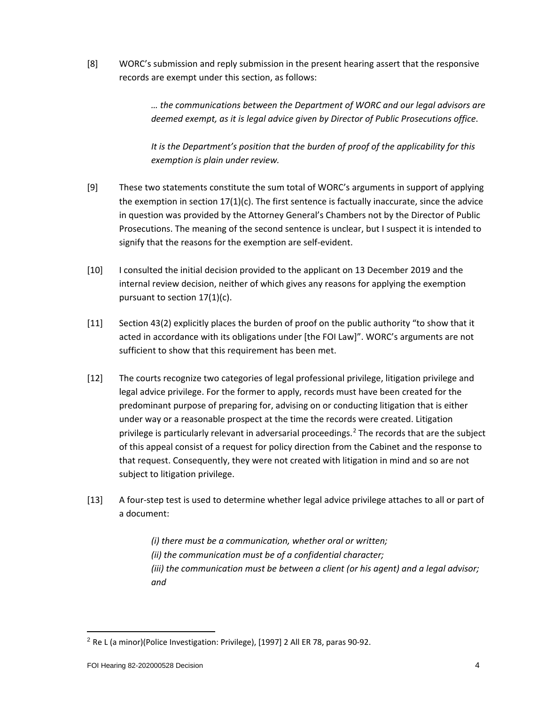[8] WORC's submission and reply submission in the present hearing assert that the responsive records are exempt under this section, as follows:

> *… the communications between the Department of WORC and our legal advisors are deemed exempt, as it is legal advice given by Director of Public Prosecutions office*.

*It is the Department's position that the burden of proof of the applicability for this exemption is plain under review.*

- [9] These two statements constitute the sum total of WORC's arguments in support of applying the exemption in section 17(1)(c). The first sentence is factually inaccurate, since the advice in question was provided by the Attorney General's Chambers not by the Director of Public Prosecutions. The meaning of the second sentence is unclear, but I suspect it is intended to signify that the reasons for the exemption are self-evident.
- [10] I consulted the initial decision provided to the applicant on 13 December 2019 and the internal review decision, neither of which gives any reasons for applying the exemption pursuant to section 17(1)(c).
- [11] Section 43(2) explicitly places the burden of proof on the public authority "to show that it acted in accordance with its obligations under [the FOI Law]". WORC's arguments are not sufficient to show that this requirement has been met.
- [12] The courts recognize two categories of legal professional privilege, litigation privilege and legal advice privilege. For the former to apply, records must have been created for the predominant purpose of preparing for, advising on or conducting litigation that is either under way or a reasonable prospect at the time the records were created. Litigation privilege is particularly relevant in adversarial proceedings.<sup>[2](#page-3-0)</sup> The records that are the subject of this appeal consist of a request for policy direction from the Cabinet and the response to that request. Consequently, they were not created with litigation in mind and so are not subject to litigation privilege.
- [13] A four-step test is used to determine whether legal advice privilege attaches to all or part of a document:

*(i) there must be a communication, whether oral or written; (ii) the communication must be of a confidential character; (iii) the communication must be between a client (or his agent) and a legal advisor; and*

<span id="page-3-0"></span><sup>2</sup> Re L (a minor)(Police Investigation: Privilege), [1997] 2 All ER 78, paras 90-92.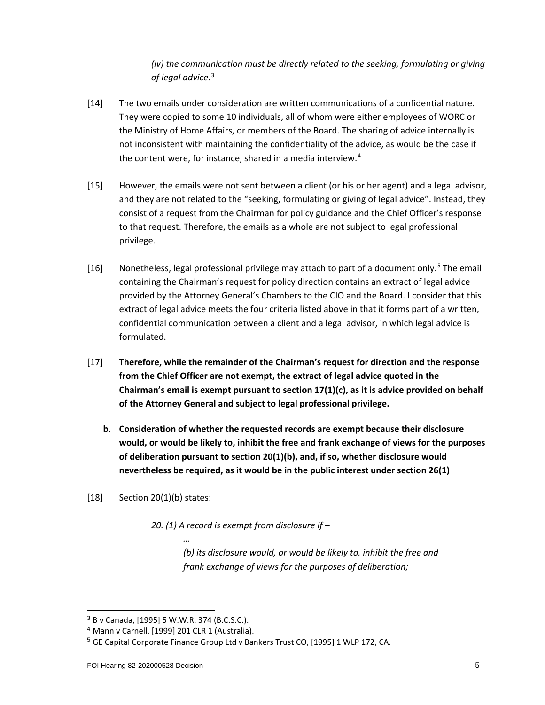*(iv) the communication must be directly related to the seeking, formulating or giving of legal advice*. [3](#page-4-0)

- [14] The two emails under consideration are written communications of a confidential nature. They were copied to some 10 individuals, all of whom were either employees of WORC or the Ministry of Home Affairs, or members of the Board. The sharing of advice internally is not inconsistent with maintaining the confidentiality of the advice, as would be the case if the content were, for instance, shared in a media interview.<sup>[4](#page-4-1)</sup>
- [15] However, the emails were not sent between a client (or his or her agent) and a legal advisor, and they are not related to the "seeking, formulating or giving of legal advice". Instead, they consist of a request from the Chairman for policy guidance and the Chief Officer's response to that request. Therefore, the emails as a whole are not subject to legal professional privilege.
- [16] Nonetheless, legal professional privilege may attach to part of a document only.<sup>[5](#page-4-2)</sup> The email containing the Chairman's request for policy direction contains an extract of legal advice provided by the Attorney General's Chambers to the CIO and the Board. I consider that this extract of legal advice meets the four criteria listed above in that it forms part of a written, confidential communication between a client and a legal advisor, in which legal advice is formulated.
- [17] **Therefore, while the remainder of the Chairman's request for direction and the response from the Chief Officer are not exempt, the extract of legal advice quoted in the Chairman's email is exempt pursuant to section 17(1)(c), as it is advice provided on behalf of the Attorney General and subject to legal professional privilege.**
	- **b. Consideration of whether the requested records are exempt because their disclosure would, or would be likely to, inhibit the free and frank exchange of views for the purposes of deliberation pursuant to section 20(1)(b), and, if so, whether disclosure would nevertheless be required, as it would be in the public interest under section 26(1)**

## [18] Section 20(1)(b) states:

*20. (1) A record is exempt from disclosure if –*

*(b) its disclosure would, or would be likely to, inhibit the free and frank exchange of views for the purposes of deliberation;*

*…*

<sup>3</sup> B v Canada, [1995] 5 W.W.R. 374 (B.C.S.C.).

<span id="page-4-2"></span><span id="page-4-1"></span><span id="page-4-0"></span><sup>4</sup> Mann v Carnell, [1999] 201 CLR 1 (Australia).

<sup>5</sup> GE Capital Corporate Finance Group Ltd v Bankers Trust CO, [1995] 1 WLP 172, CA.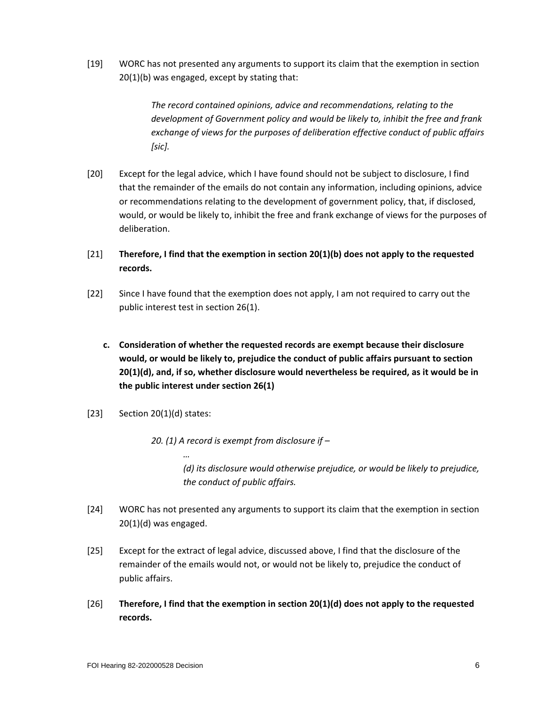[19] WORC has not presented any arguments to support its claim that the exemption in section 20(1)(b) was engaged, except by stating that:

> *The record contained opinions, advice and recommendations, relating to the development of Government policy and would be likely to, inhibit the free and frank exchange of views for the purposes of deliberation effective conduct of public affairs [sic].*

- [20] Except for the legal advice, which I have found should not be subject to disclosure, I find that the remainder of the emails do not contain any information, including opinions, advice or recommendations relating to the development of government policy, that, if disclosed, would, or would be likely to, inhibit the free and frank exchange of views for the purposes of deliberation.
- [21] **Therefore, I find that the exemption in section 20(1)(b) does not apply to the requested records.**
- [22] Since I have found that the exemption does not apply, I am not required to carry out the public interest test in section 26(1).
	- **c. Consideration of whether the requested records are exempt because their disclosure would, or would be likely to, prejudice the conduct of public affairs pursuant to section 20(1)(d), and, if so, whether disclosure would nevertheless be required, as it would be in the public interest under section 26(1)**
- [23] Section 20(1)(d) states:

*…*

*20. (1) A record is exempt from disclosure if –*

*(d) its disclosure would otherwise prejudice, or would be likely to prejudice, the conduct of public affairs.*

- [24] WORC has not presented any arguments to support its claim that the exemption in section 20(1)(d) was engaged.
- [25] Except for the extract of legal advice, discussed above, I find that the disclosure of the remainder of the emails would not, or would not be likely to, prejudice the conduct of public affairs.
- [26] **Therefore, I find that the exemption in section 20(1)(d) does not apply to the requested records.**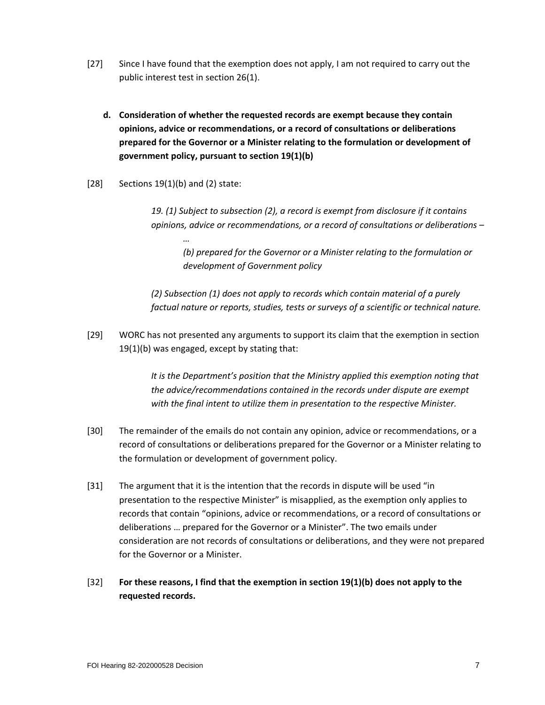- [27] Since I have found that the exemption does not apply, I am not required to carry out the public interest test in section 26(1).
	- **d. Consideration of whether the requested records are exempt because they contain opinions, advice or recommendations, or a record of consultations or deliberations prepared for the Governor or a Minister relating to the formulation or development of government policy, pursuant to section 19(1)(b)**
- $[28]$  Sections 19(1)(b) and (2) state:

*…*

*19. (1) Subject to subsection (2), a record is exempt from disclosure if it contains opinions, advice or recommendations, or a record of consultations or deliberations –*

*(b) prepared for the Governor or a Minister relating to the formulation or development of Government policy*

*(2) Subsection (1) does not apply to records which contain material of a purely factual nature or reports, studies, tests or surveys of a scientific or technical nature.*

[29] WORC has not presented any arguments to support its claim that the exemption in section 19(1)(b) was engaged, except by stating that:

> *It is the Department's position that the Ministry applied this exemption noting that the advice/recommendations contained in the records under dispute are exempt with the final intent to utilize them in presentation to the respective Minister.*

- [30] The remainder of the emails do not contain any opinion, advice or recommendations, or a record of consultations or deliberations prepared for the Governor or a Minister relating to the formulation or development of government policy.
- [31] The argument that it is the intention that the records in dispute will be used "in presentation to the respective Minister" is misapplied, as the exemption only applies to records that contain "opinions, advice or recommendations, or a record of consultations or deliberations … prepared for the Governor or a Minister". The two emails under consideration are not records of consultations or deliberations, and they were not prepared for the Governor or a Minister.
- [32] **For these reasons, I find that the exemption in section 19(1)(b) does not apply to the requested records.**